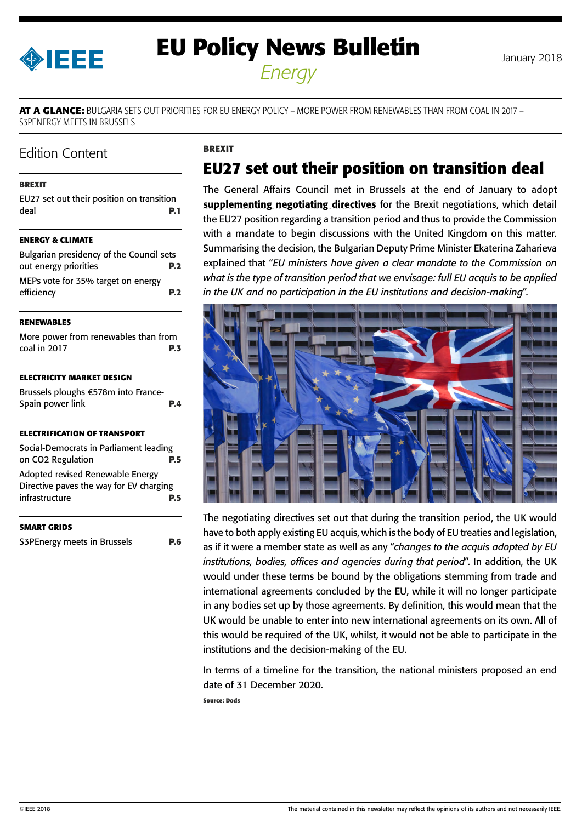<span id="page-0-0"></span>

# **EU Policy News Bulletin** January 2018 *Energy*

**AT A GLANCE:** BULGARIA SETS OUT PRIORITIES FOR EU ENERGY POLICY – MORE POWER FROM RENEWABLES THAN FROM COAL IN 2017 – S3PENERGY MEETS IN BRUSSELS

## Edition Content

### **BREXIT**

|      | EU27 set out their position on transition |            |
|------|-------------------------------------------|------------|
| deal |                                           | <b>P.1</b> |

### **[ENERGY & CLIMATE](#page-1-0)**

| Bulgarian presidency of the Council sets |            |
|------------------------------------------|------------|
| out energy priorities                    | <b>P.2</b> |
| MEPs vote for 35% target on energy       |            |
| efficiency                               | <b>P.2</b> |

#### **[RENEWABLES](#page-2-0)**

| More power from renewables than from |  |            |
|--------------------------------------|--|------------|
| coal in 2017                         |  | <b>P.3</b> |

### **[ELECTRICITY MARKET DESIGN](#page-3-0)**

[Brussels ploughs €578m into France-](#page-3-0)[Spain power link](#page-3-0) **P.4**

#### **[ELECTRIFICATION OF TRANSPORT](#page-4-0)**

| Social-Democrats in Parliament leading  |     |
|-----------------------------------------|-----|
| on CO <sub>2</sub> Regulation           | P.5 |
| Adopted revised Renewable Energy        |     |
| Directive paves the way for EV charging |     |
| infrastructure                          |     |

#### **[SMART GRIDS](#page-5-0)**

[S3PEnergy meets in Brussels](#page-5-0) **P.6**

### **BREXIT**

# **EU27 set out their position on transition deal**

The General Affairs Council met in Brussels at the end of January to adopt [supplementing negotiating directives](http://www.consilium.europa.eu/media/32504/xt21004-ad01re02en18.pdf) for the Brexit negotiations, which detail the EU27 position regarding a transition period and thus to provide the Commission with a mandate to begin discussions with the United Kingdom on this matter. Summarising the decision, the Bulgarian Deputy Prime Minister Ekaterina Zaharieva explained that "*EU ministers have given a clear mandate to the Commission on what is the type of transition period that we envisage: full EU acquis to be applied in the UK and no participation in the EU institutions and decision-making*".



The negotiating directives set out that during the transition period, the UK would have to both apply existing EU acquis, which is the body of EU treaties and legislation, as if it were a member state as well as any "*changes to the acquis adopted by EU institutions, bodies, offices and agencies during that period*". In addition, the UK would under these terms be bound by the obligations stemming from trade and international agreements concluded by the EU, while it will no longer participate in any bodies set up by those agreements. By definition, this would mean that the UK would be unable to enter into new international agreements on its own. All of this would be required of the UK, whilst, it would not be able to participate in the institutions and the decision-making of the EU.

In terms of a timeline for the transition, the national ministers proposed an end date of 31 December 2020.

**Source: Dods**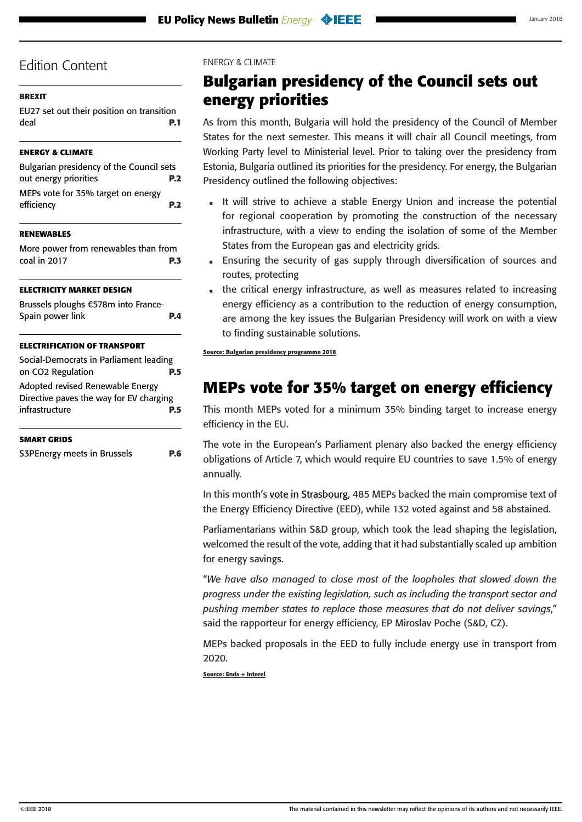### <span id="page-1-0"></span>**[BREXIT](#page-0-0)**

[EU27 set out their position on transition](#page-0-0)  [deal](#page-0-0) **P.1**

### **ENERGY & CLIMATE**

| Bulgarian presidency of the Council sets         |                |
|--------------------------------------------------|----------------|
| out energy priorities                            | <b>P.2</b>     |
| MEPs vote for 35% target on energy<br>efficiency | P <sub>2</sub> |

### **[RENEWABLES](#page-2-0)**

[More power from renewables than from](#page-2-0)  [coal in 2017](#page-2-0) **P.3**

### **[ELECTRICITY MARKET DESIGN](#page-3-0)**

| Brussels ploughs €578m into France- |            |
|-------------------------------------|------------|
| Spain power link                    | <b>P.4</b> |

### **[ELECTRIFICATION OF TRANSPORT](#page-4-0)**

| Social-Democrats in Parliament leading                                                        |     |
|-----------------------------------------------------------------------------------------------|-----|
| on CO2 Regulation                                                                             | P.5 |
| Adopted revised Renewable Energy<br>Directive paves the way for EV charging<br>infrastructure | P.5 |

### **[SMART GRIDS](#page-5-0)**

[S3PEnergy meets in Brussels](#page-5-0) **P.6**

### ENERGY & CLIMATE

# **Bulgarian presidency of the Council sets out energy priorities**

As from this month, Bulgaria will hold the presidency of the Council of Member States for the next semester. This means it will chair all Council meetings, from Working Party level to Ministerial level. Prior to taking over the presidency from Estonia, Bulgaria outlined its priorities for the presidency. For energy, the Bulgarian Presidency outlined the following objectives:

- It will strive to achieve a stable Energy Union and increase the potential for regional cooperation by promoting the construction of the necessary infrastructure, with a view to ending the isolation of some of the Member States from the European gas and electricity grids.
- Ensuring the security of gas supply through diversification of sources and routes, protecting
- the critical energy infrastructure, as well as measures related to increasing energy efficiency as a contribution to the reduction of energy consumption, are among the key issues the Bulgarian Presidency will work on with a view to finding sustainable solutions.

**Source: Bulgarian presidency programme 2018**

# **MEPs vote for 35% target on energy efficiency**

This month MEPs voted for a minimum 35% binding target to increase energy efficiency in the EU.

The vote in the European's Parliament plenary also backed the energy efficiency obligations of Article 7, which would require EU countries to save 1.5% of energy annually.

In this month's [vote in Strasbourg,](http://www.europarl.europa.eu/news/en/press-room/20180112IPR91629/meps-set-ambitious-targets-for-cleaner-more-efficient-energy-use) 485 MEPs backed the main compromise text of the Energy Efficiency Directive (EED), while 132 voted against and 58 abstained.

Parliamentarians within S&D group, which took the lead shaping the legislation, welcomed the result of the vote, adding that it had substantially scaled up ambition for energy savings.

"*We have also managed to close most of the loopholes that slowed down the progress under the existing legislation, such as including the transport sector and pushing member states to replace those measures that do not deliver savings*," said the rapporteur for energy efficiency, EP Miroslav Poche (S&D, CZ).

MEPs backed proposals in the EED to fully include energy use in transport from 2020.

**Source: Ends + Interel**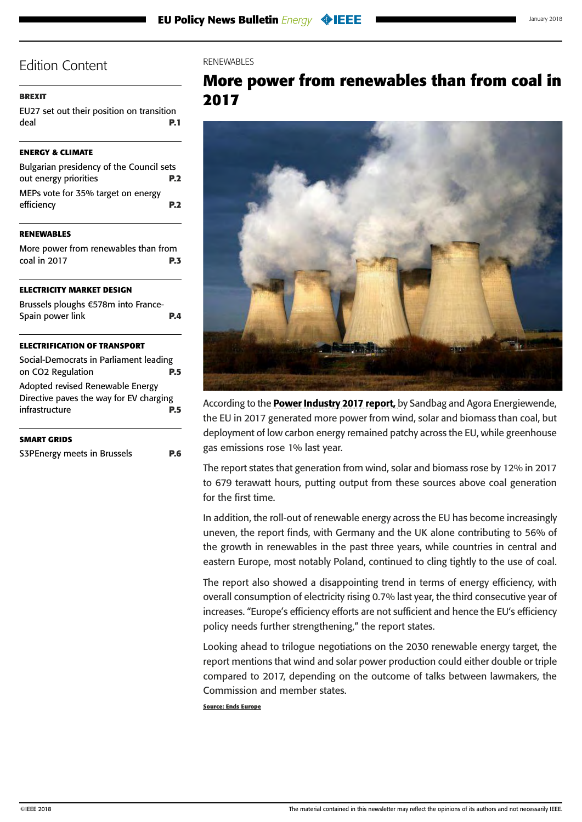### <span id="page-2-0"></span>**[BREXIT](#page-0-0)**

[EU27 set out their position on transition](#page-0-0)  [deal](#page-0-0) **P.1**

### **[ENERGY & CLIMATE](#page-1-0)**

| Bulgarian presidency of the Council sets         |                |
|--------------------------------------------------|----------------|
| out energy priorities                            | <b>P.2</b>     |
| MEPs vote for 35% target on energy<br>efficiency | P <sub>2</sub> |
|                                                  |                |

### **RENEWABLES**

More power from renewables than from coal in 2017 **P.3**

#### **[ELECTRICITY MARKET DESIGN](#page-3-0)**

| Brussels ploughs €578m into France- |            |
|-------------------------------------|------------|
| Spain power link                    | <b>P.4</b> |

#### **[ELECTRIFICATION OF TRANSPORT](#page-4-0)**

| Social-Democrats in Parliament leading                                      |            |
|-----------------------------------------------------------------------------|------------|
| on CO2 Regulation                                                           | <b>P.5</b> |
| Adopted revised Renewable Energy<br>Directive paves the way for EV charging |            |
| infrastructure                                                              | <b>P.5</b> |
|                                                                             |            |

| <b>SMART GRIDS</b>          |            |
|-----------------------------|------------|
| S3PEnergy meets in Brussels | <b>P.6</b> |

### RENEWABLES

# **More power from renewables than from coal in 2017**



According to the **[Power Industry 2017 report](https://sandbag.org.uk/project/european-energy-transition-power-sector-2017/)**, by Sandbag and Agora Energiewende, the EU in 2017 generated more power from wind, solar and biomass than coal, but deployment of low carbon energy remained patchy across the EU, while greenhouse gas emissions rose 1% last year.

The report states that generation from wind, solar and biomass rose by 12% in 2017 to 679 terawatt hours, putting output from these sources above coal generation for the first time.

In addition, the roll-out of renewable energy across the EU has become increasingly uneven, the report finds, with Germany and the UK alone contributing to 56% of the growth in renewables in the past three years, while countries in central and eastern Europe, most notably Poland, continued to cling tightly to the use of coal.

The report also showed a disappointing trend in terms of energy efficiency, with overall consumption of electricity rising 0.7% last year, the third consecutive year of increases. "Europe's efficiency efforts are not sufficient and hence the EU's efficiency policy needs further strengthening," the report states.

Looking ahead to trilogue negotiations on the 2030 renewable energy target, the report mentions that wind and solar power production could either double or triple compared to 2017, depending on the outcome of talks between lawmakers, the Commission and member states.

**Source: Ends Europe**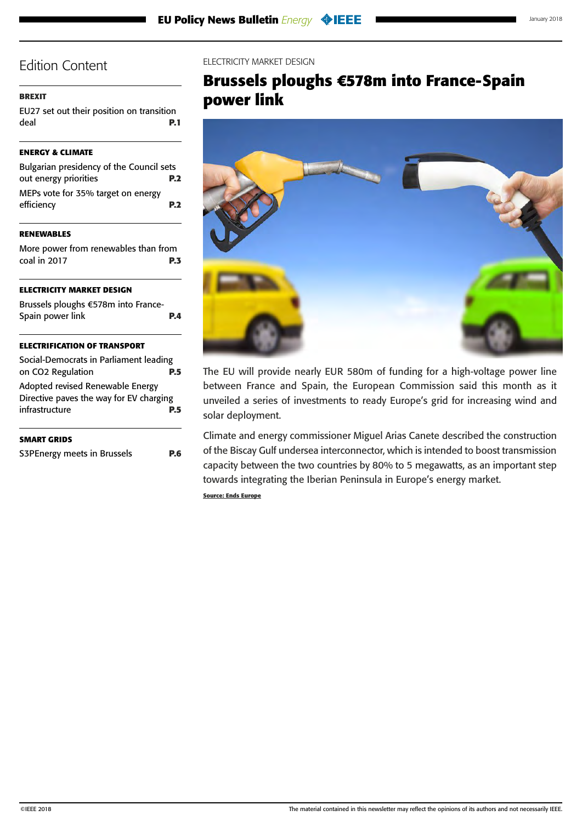### <span id="page-3-0"></span>**[BREXIT](#page-0-0)**

[EU27 set out their position on transition](#page-0-0)  [deal](#page-0-0) **P.1**

### **[ENERGY & CLIMATE](#page-1-0)**

| Bulgarian presidency of the Council sets         |            |
|--------------------------------------------------|------------|
| out energy priorities                            | <b>P.2</b> |
| MEPs vote for 35% target on energy<br>efficiency | <b>P.2</b> |

### **[RENEWABLES](#page-2-0)**

[More power from renewables than from](#page-2-0)  [coal in 2017](#page-2-0) **P.3**

### **ELECTRICITY MARKET DESIGN**

| Brussels ploughs €578m into France- |            |
|-------------------------------------|------------|
| Spain power link                    | <b>P.4</b> |
|                                     |            |

### **[ELECTRIFICATION OF TRANSPORT](#page-4-0)**

| Social-Democrats in Parliament leading                                      |     |
|-----------------------------------------------------------------------------|-----|
| on CO2 Regulation                                                           | P.5 |
| Adopted revised Renewable Energy<br>Directive paves the way for EV charging |     |
| infrastructure                                                              | P.5 |
|                                                                             |     |

| SMART GRIDS |  |
|-------------|--|
|             |  |

[S3PEnergy meets in Brussels](#page-5-0) **P.6**

### ELECTRICITY MARKET DESIGN

# **Brussels ploughs €578m into France-Spain power link**



The EU will provide nearly EUR 580m of funding for a high-voltage power line between France and Spain, the European Commission said this month as it unveiled a series of investments to ready Europe's grid for increasing wind and solar deployment.

Climate and energy commissioner Miguel Arias Canete described the construction of the Biscay Gulf undersea interconnector, which is intended to boost transmission capacity between the two countries by 80% to 5 megawatts, as an important step towards integrating the Iberian Peninsula in Europe's energy market.

**Source: Ends Europe**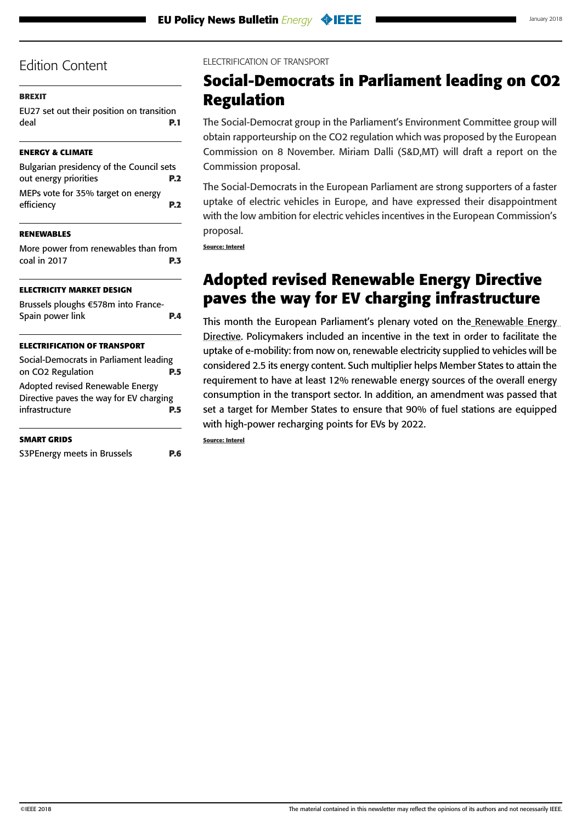### <span id="page-4-0"></span>**[BREXIT](#page-0-0)**

[EU27 set out their position on transition](#page-0-0)  [deal](#page-0-0) **P.1**

## **[ENERGY & CLIMATE](#page-1-0)**

| Bulgarian presidency of the Council sets         |                 |
|--------------------------------------------------|-----------------|
| out energy priorities                            | <b>P.2</b>      |
| MEPs vote for 35% target on energy<br>efficiency | P. <sub>2</sub> |

### **[RENEWABLES](#page-2-0)**

| More power from renewables than from |            |
|--------------------------------------|------------|
| coal in 2017                         | <b>P.3</b> |

## **[ELECTRICITY MARKET DESIGN](#page-3-0)**

| Brussels ploughs €578m into France-<br>Spain power link                     | PД  |
|-----------------------------------------------------------------------------|-----|
| <b>ELECTRIFICATION OF TRANSPORT</b>                                         |     |
| Social-Democrats in Parliament leading<br>on CO <sub>2</sub> Regulation     | P.5 |
| Adopted revised Renewable Energy<br>Directive paves the way for EV charging |     |
| infrastructure                                                              | P.5 |

[S3PEnergy meets in Brussels](#page-5-0) **P.6**

ELECTRIFICATION OF TRANSPORT

# **Social-Democrats in Parliament leading on CO2 Regulation**

The Social-Democrat group in the Parliament's Environment Committee group will obtain rapporteurship on the CO2 regulation which was proposed by the European Commission on 8 November. Miriam Dalli (S&D,MT) will draft a report on the Commission proposal.

The Social-Democrats in the European Parliament are strong supporters of a faster uptake of electric vehicles in Europe, and have expressed their disappointment with the low ambition for electric vehicles incentives in the European Commission's proposal.

**Source: Interel**

# **Adopted revised Renewable Energy Directive paves the way for EV charging infrastructure**

This month the European Parliament's plenary voted on the Renewable Energy [Directive](file:///H:/Media/Design/Client%20work/EU/Events/IEEE/Newsletter/January%202018/Adopted%20revised%20Renewable%20Energy%20Directive%20paths%20the%20way%20for%20increased%20EV%20charging%20infrastructure). Policymakers included an incentive in the text in order to facilitate the uptake of e-mobility: from now on, renewable electricity supplied to vehicles will be considered 2.5 its energy content. Such multiplier helps Member States to attain the requirement to have at least 12% renewable energy sources of the overall energy consumption in the transport sector. In addition, an amendment was passed that set a target for Member States to ensure that 90% of fuel stations are equipped with high-power recharging points for EVs by 2022.

**Source: Interel**